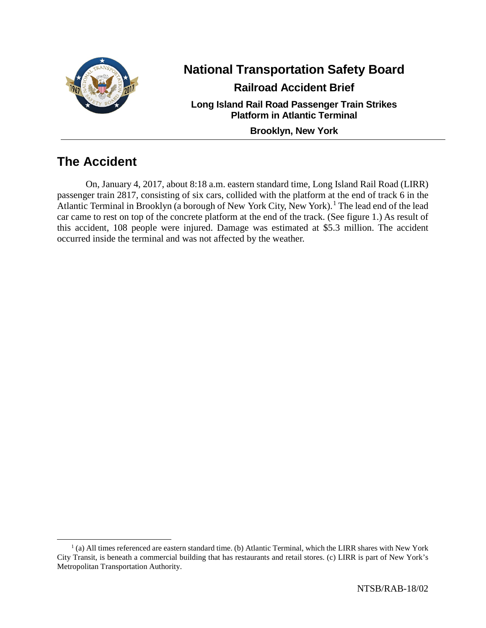

# **National Transportation Safety Board**

**Railroad Accident Brief**

**Long Island Rail Road Passenger Train Strikes Platform in Atlantic Terminal**

**Brooklyn, New York**

# **The Accident**

On, January 4, 2017, about 8:18 a.m. eastern standard time, Long Island Rail Road (LIRR) passenger train 2817, consisting of six cars, collided with the platform at the end of track 6 in the Atlantic Terminal in Brooklyn (a borough of New York City, New York).<sup>[1](#page-0-0)</sup> The lead end of the lead car came to rest on top of the concrete platform at the end of the track. (See figure 1.) As result of this accident, 108 people were injured. Damage was estimated at \$5.3 million. The accident occurred inside the terminal and was not affected by the weather.

<span id="page-0-0"></span> $<sup>1</sup>$  (a) All times referenced are eastern standard time. (b) Atlantic Terminal, which the LIRR shares with New York</sup> City Transit, is beneath a commercial building that has restaurants and retail stores. (c) LIRR is part of New York's Metropolitan Transportation Authority.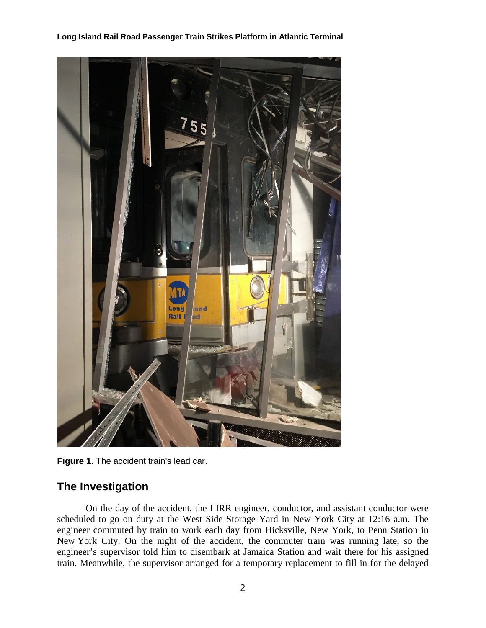

**Figure 1.** The accident train's lead car.

# **The Investigation**

On the day of the accident, the LIRR engineer, conductor, and assistant conductor were scheduled to go on duty at the West Side Storage Yard in New York City at 12:16 a.m. The engineer commuted by train to work each day from Hicksville, New York, to Penn Station in New York City. On the night of the accident, the commuter train was running late, so the engineer's supervisor told him to disembark at Jamaica Station and wait there for his assigned train. Meanwhile, the supervisor arranged for a temporary replacement to fill in for the delayed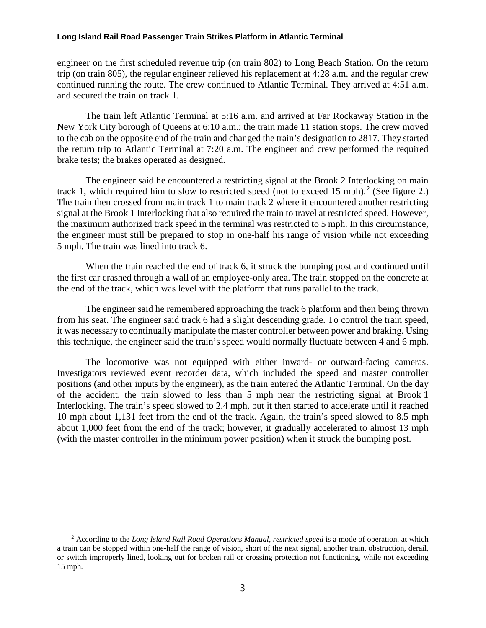engineer on the first scheduled revenue trip (on train 802) to Long Beach Station. On the return trip (on train 805), the regular engineer relieved his replacement at 4:28 a.m. and the regular crew continued running the route. The crew continued to Atlantic Terminal. They arrived at 4:51 a.m. and secured the train on track 1.

The train left Atlantic Terminal at 5:16 a.m. and arrived at Far Rockaway Station in the New York City borough of Queens at 6:10 a.m.; the train made 11 station stops. The crew moved to the cab on the opposite end of the train and changed the train's designation to 2817. They started the return trip to Atlantic Terminal at 7:20 a.m. The engineer and crew performed the required brake tests; the brakes operated as designed.

The engineer said he encountered a restricting signal at the Brook 2 Interlocking on main track 1, which required him to slow to restricted speed (not to exceed 15 mph).<sup>[2](#page-2-0)</sup> (See figure 2.) The train then crossed from main track 1 to main track 2 where it encountered another restricting signal at the Brook 1 Interlocking that also required the train to travel at restricted speed. However, the maximum authorized track speed in the terminal was restricted to 5 mph. In this circumstance, the engineer must still be prepared to stop in one-half his range of vision while not exceeding 5 mph. The train was lined into track 6.

When the train reached the end of track 6, it struck the bumping post and continued until the first car crashed through a wall of an employee-only area. The train stopped on the concrete at the end of the track, which was level with the platform that runs parallel to the track.

The engineer said he remembered approaching the track 6 platform and then being thrown from his seat. The engineer said track 6 had a slight descending grade. To control the train speed, it was necessary to continually manipulate the master controller between power and braking. Using this technique, the engineer said the train's speed would normally fluctuate between 4 and 6 mph.

The locomotive was not equipped with either inward- or outward-facing cameras. Investigators reviewed event recorder data, which included the speed and master controller positions (and other inputs by the engineer), as the train entered the Atlantic Terminal. On the day of the accident, the train slowed to less than 5 mph near the restricting signal at Brook 1 Interlocking. The train's speed slowed to 2.4 mph, but it then started to accelerate until it reached 10 mph about 1,131 feet from the end of the track. Again, the train's speed slowed to 8.5 mph about 1,000 feet from the end of the track; however, it gradually accelerated to almost 13 mph (with the master controller in the minimum power position) when it struck the bumping post.

<span id="page-2-0"></span> <sup>2</sup> According to the *Long Island Rail Road Operations Manual*, *restricted speed* is a mode of operation, at which a train can be stopped within one-half the range of vision, short of the next signal, another train, obstruction, derail, or switch improperly lined, looking out for broken rail or crossing protection not functioning, while not exceeding 15 mph.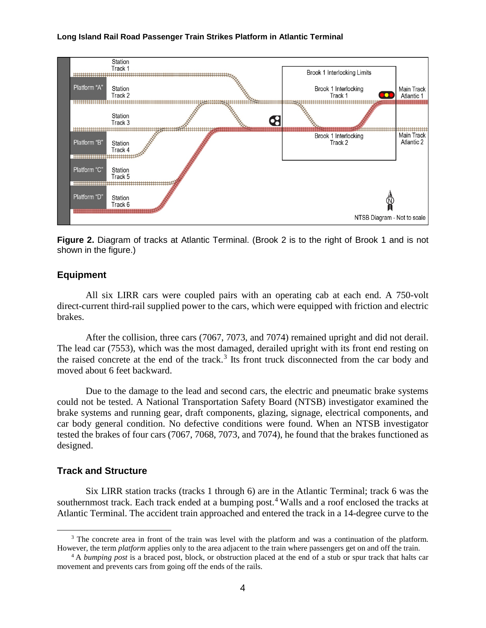

**Figure 2.** Diagram of tracks at Atlantic Terminal. (Brook 2 is to the right of Brook 1 and is not shown in the figure.)

#### **Equipment**

All six LIRR cars were coupled pairs with an operating cab at each end. A 750-volt direct-current third-rail supplied power to the cars, which were equipped with friction and electric brakes.

After the collision, three cars (7067, 7073, and 7074) remained upright and did not derail. The lead car (7553), which was the most damaged, derailed upright with its front end resting on the raised concrete at the end of the track.<sup>[3](#page-3-0)</sup> Its front truck disconnected from the car body and moved about 6 feet backward.

Due to the damage to the lead and second cars, the electric and pneumatic brake systems could not be tested. A National Transportation Safety Board (NTSB) investigator examined the brake systems and running gear, draft components, glazing, signage, electrical components, and car body general condition. No defective conditions were found. When an NTSB investigator tested the brakes of four cars (7067, 7068, 7073, and 7074), he found that the brakes functioned as designed.

## **Track and Structure**

Six LIRR station tracks (tracks 1 through 6) are in the Atlantic Terminal; track 6 was the southernmost track. Each track ended at a bumping post.<sup>[4](#page-3-1)</sup> Walls and a roof enclosed the tracks at Atlantic Terminal. The accident train approached and entered the track in a 14-degree curve to the

<span id="page-3-0"></span><sup>&</sup>lt;sup>3</sup> The concrete area in front of the train was level with the platform and was a continuation of the platform. However, the term *platform* applies only to the area adjacent to the train where passengers get on and off the train.

<span id="page-3-1"></span><sup>4</sup> A *bumping post* is a braced post, block, or obstruction placed at the end of a stub or spur track that halts car movement and prevents cars from going off the ends of the rails.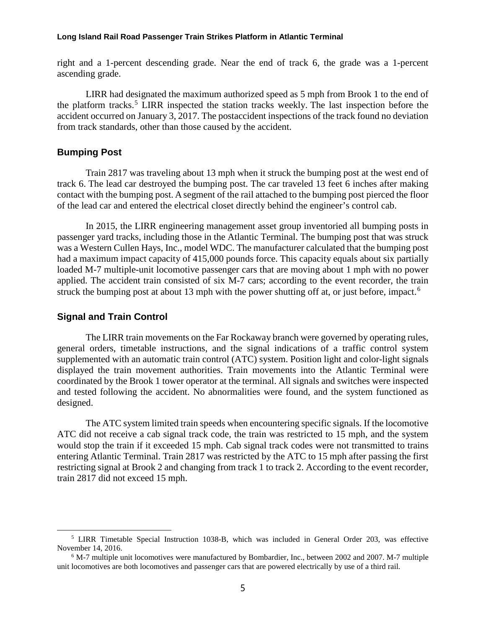right and a 1-percent descending grade. Near the end of track 6, the grade was a 1-percent ascending grade.

LIRR had designated the maximum authorized speed as 5 mph from Brook 1 to the end of the platform tracks.<sup>[5](#page-4-0)</sup> LIRR inspected the station tracks weekly. The last inspection before the accident occurred on January 3, 2017. The postaccident inspections of the track found no deviation from track standards, other than those caused by the accident.

#### **Bumping Post**

Train 2817 was traveling about 13 mph when it struck the bumping post at the west end of track 6. The lead car destroyed the bumping post. The car traveled 13 feet 6 inches after making contact with the bumping post. A segment of the rail attached to the bumping post pierced the floor of the lead car and entered the electrical closet directly behind the engineer's control cab.

In 2015, the LIRR engineering management asset group inventoried all bumping posts in passenger yard tracks, including those in the Atlantic Terminal. The bumping post that was struck was a Western Cullen Hays, Inc., model WDC. The manufacturer calculated that the bumping post had a maximum impact capacity of 415,000 pounds force. This capacity equals about six partially loaded M-7 multiple-unit locomotive passenger cars that are moving about 1 mph with no power applied. The accident train consisted of six M-7 cars; according to the event recorder, the train struck the bumping post at about 13 mph with the power shutting off at, or just before, impact.<sup>[6](#page-4-1)</sup>

#### **Signal and Train Control**

The LIRR train movements on the Far Rockaway branch were governed by operating rules, general orders, timetable instructions, and the signal indications of a traffic control system supplemented with an automatic train control (ATC) system. Position light and color-light signals displayed the train movement authorities. Train movements into the Atlantic Terminal were coordinated by the Brook 1 tower operator at the terminal. All signals and switches were inspected and tested following the accident. No abnormalities were found, and the system functioned as designed.

The ATC system limited train speeds when encountering specific signals. If the locomotive ATC did not receive a cab signal track code, the train was restricted to 15 mph, and the system would stop the train if it exceeded 15 mph. Cab signal track codes were not transmitted to trains entering Atlantic Terminal. Train 2817 was restricted by the ATC to 15 mph after passing the first restricting signal at Brook 2 and changing from track 1 to track 2. According to the event recorder, train 2817 did not exceed 15 mph.

<span id="page-4-0"></span> <sup>5</sup> LIRR Timetable Special Instruction 1038-B, which was included in General Order 203, was effective November 14, 2016.

<span id="page-4-1"></span><sup>6</sup> M-7 multiple unit locomotives were manufactured by Bombardier, Inc., between 2002 and 2007. M-7 multiple unit locomotives are both locomotives and passenger cars that are powered electrically by use of a third rail.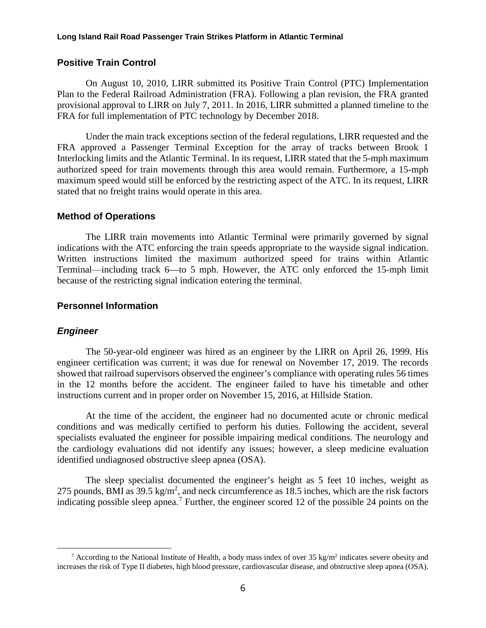## **Positive Train Control**

On August 10, 2010, LIRR submitted its Positive Train Control (PTC) Implementation Plan to the Federal Railroad Administration (FRA). Following a plan revision, the FRA granted provisional approval to LIRR on July 7, 2011. In 2016, LIRR submitted a planned timeline to the FRA for full implementation of PTC technology by December 2018.

Under the main track exceptions section of the federal regulations, LIRR requested and the FRA approved a Passenger Terminal Exception for the array of tracks between Brook 1 Interlocking limits and the Atlantic Terminal. In its request, LIRR stated that the 5-mph maximum authorized speed for train movements through this area would remain. Furthermore, a 15-mph maximum speed would still be enforced by the restricting aspect of the ATC. In its request, LIRR stated that no freight trains would operate in this area.

#### **Method of Operations**

The LIRR train movements into Atlantic Terminal were primarily governed by signal indications with the ATC enforcing the train speeds appropriate to the wayside signal indication. Written instructions limited the maximum authorized speed for trains within Atlantic Terminal⸻including track 6—to 5 mph. However, the ATC only enforced the 15-mph limit because of the restricting signal indication entering the terminal.

## **Personnel Information**

## *Engineer*

The 50-year-old engineer was hired as an engineer by the LIRR on April 26, 1999. His engineer certification was current; it was due for renewal on November 17, 2019. The records showed that railroad supervisors observed the engineer's compliance with operating rules 56 times in the 12 months before the accident. The engineer failed to have his timetable and other instructions current and in proper order on November 15, 2016, at Hillside Station.

At the time of the accident, the engineer had no documented acute or chronic medical conditions and was medically certified to perform his duties. Following the accident, several specialists evaluated the engineer for possible impairing medical conditions. The neurology and the cardiology evaluations did not identify any issues; however, a sleep medicine evaluation identified undiagnosed obstructive sleep apnea (OSA).

The sleep specialist documented the engineer's height as 5 feet 10 inches, weight as 275 pounds, BMI as  $39.5 \text{ kg/m}^2$ , and neck circumference as 18.5 inches, which are the risk factors indicating possible sleep apnea.<sup>[7](#page-5-0)</sup> Further, the engineer scored 12 of the possible 24 points on the

<span id="page-5-0"></span><sup>&</sup>lt;sup>7</sup> According to the National Institute of Health, a body mass index of over 35 kg/m<sup>2</sup> indicates severe obesity and increases the risk of Type II diabetes, high blood pressure, cardiovascular disease, and obstructive sleep apnea (OSA).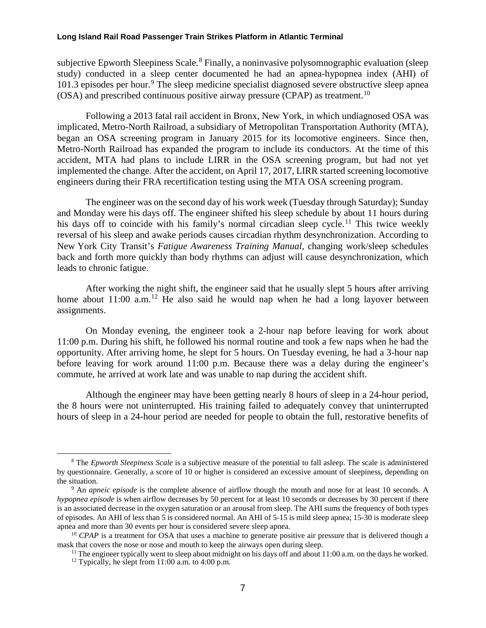subjective Epworth Sleepiness Scale.<sup>[8](#page-6-0)</sup> Finally, a noninvasive polysomnographic evaluation (sleep) study) conducted in a sleep center documented he had an apnea-hypopnea index (AHI) of 101.3 episodes per hour.<sup>[9](#page-6-1)</sup> The sleep medicine specialist diagnosed severe obstructive sleep apnea (OSA) and prescribed continuous positive airway pressure (CPAP) as treatment.<sup>[10](#page-6-2)</sup>

Following a 2013 fatal rail accident in Bronx, New York, in which undiagnosed OSA was implicated, Metro-North Railroad, a subsidiary of Metropolitan Transportation Authority (MTA), began an OSA screening program in January 2015 for its locomotive engineers. Since then, Metro-North Railroad has expanded the program to include its conductors. At the time of this accident, MTA had plans to include LIRR in the OSA screening program, but had not yet implemented the change. After the accident, on April 17, 2017, LIRR started screening locomotive engineers during their FRA recertification testing using the MTA OSA screening program.

The engineer was on the second day of his work week (Tuesday through Saturday); Sunday and Monday were his days off. The engineer shifted his sleep schedule by about 11 hours during his days off to coincide with his family's normal circadian sleep cycle.<sup>[11](#page-6-3)</sup> This twice weekly reversal of his sleep and awake periods causes circadian rhythm desynchronization. According to New York City Transit's *Fatigue Awareness Training Manual*, changing work/sleep schedules back and forth more quickly than body rhythms can adjust will cause desynchronization, which leads to chronic fatigue.

After working the night shift, the engineer said that he usually slept 5 hours after arriving home about  $11:00$  a.m.<sup>[12](#page-6-4)</sup> He also said he would nap when he had a long layover between assignments.

On Monday evening, the engineer took a 2-hour nap before leaving for work about 11:00 p.m. During his shift, he followed his normal routine and took a few naps when he had the opportunity. After arriving home, he slept for 5 hours. On Tuesday evening, he had a 3-hour nap before leaving for work around 11:00 p.m. Because there was a delay during the engineer's commute, he arrived at work late and was unable to nap during the accident shift.

Although the engineer may have been getting nearly 8 hours of sleep in a 24-hour period, the 8 hours were not uninterrupted. His training failed to adequately convey that uninterrupted hours of sleep in a 24-hour period are needed for people to obtain the full, restorative benefits of

<span id="page-6-0"></span> <sup>8</sup> The *Epworth Sleepiness Scale* is a subjective measure of the potential to fall asleep. The scale is administered by questionnaire. Generally, a score of 10 or higher is considered an excessive amount of sleepiness, depending on the situation.

<span id="page-6-1"></span><sup>9</sup> An *apneic episode* is the complete absence of airflow though the mouth and nose for at least 10 seconds. A *hypopnea episode* is when airflow decreases by 50 percent for at least 10 seconds or decreases by 30 percent if there is an associated decrease in the oxygen saturation or an arousal from sleep. The AHI sums the frequency of both types of episodes. An AHI of less than 5 is considered normal. An AHI of 5-15 is mild sleep apnea; 15-30 is moderate sleep apnea and more than 30 events per hour is considered severe sleep apnea.

<span id="page-6-4"></span><span id="page-6-3"></span><span id="page-6-2"></span><sup>&</sup>lt;sup>10</sup> *CPAP* is a treatment for OSA that uses a machine to generate positive air pressure that is delivered though a mask that covers the nose or nose and mouth to keep the airways open during sleep.

<sup>&</sup>lt;sup>11</sup> The engineer typically went to sleep about midnight on his days off and about 11:00 a.m. on the days he worked. <sup>12</sup> Typically, he slept from 11:00 a.m. to 4:00 p.m.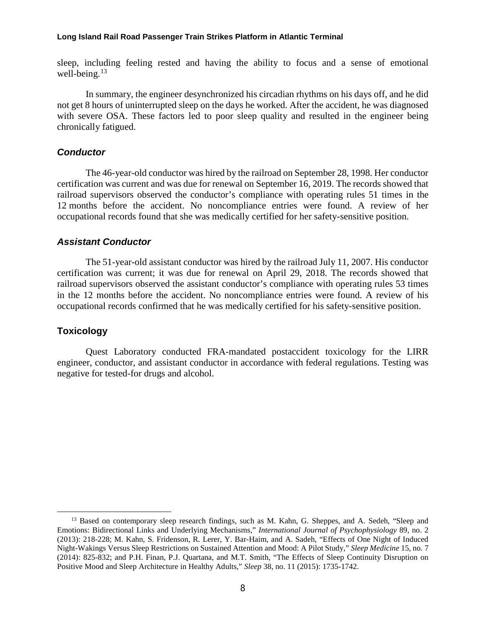sleep, including feeling rested and having the ability to focus and a sense of emotional well-being. $13$ 

In summary, the engineer desynchronized his circadian rhythms on his days off, and he did not get 8 hours of uninterrupted sleep on the days he worked. After the accident, he was diagnosed with severe OSA. These factors led to poor sleep quality and resulted in the engineer being chronically fatigued.

#### *Conductor*

The 46-year-old conductor was hired by the railroad on September 28, 1998. Her conductor certification was current and was due for renewal on September 16, 2019. The records showed that railroad supervisors observed the conductor's compliance with operating rules 51 times in the 12 months before the accident. No noncompliance entries were found. A review of her occupational records found that she was medically certified for her safety-sensitive position.

### *Assistant Conductor*

The 51-year-old assistant conductor was hired by the railroad July 11, 2007. His conductor certification was current; it was due for renewal on April 29, 2018. The records showed that railroad supervisors observed the assistant conductor's compliance with operating rules 53 times in the 12 months before the accident. No noncompliance entries were found. A review of his occupational records confirmed that he was medically certified for his safety-sensitive position.

#### **Toxicology**

Quest Laboratory conducted FRA-mandated postaccident toxicology for the LIRR engineer, conductor, and assistant conductor in accordance with federal regulations. Testing was negative for tested-for drugs and alcohol.

<span id="page-7-0"></span><sup>&</sup>lt;sup>13</sup> Based on contemporary sleep research findings, such as M. Kahn, G. Sheppes, and A. Sedeh, "Sleep and Emotions: Bidirectional Links and Underlying Mechanisms," *International Journal of Psychophysiology* 89, no. 2 (2013): 218-228; M. Kahn, S. Fridenson, R. Lerer, Y. Bar-Haim, and A. Sadeh, "Effects of One Night of Induced Night-Wakings Versus Sleep Restrictions on Sustained Attention and Mood: A Pilot Study," *Sleep Medicine* 15, no. 7 (2014): 825-832; and P.H. Finan, P.J. Quartana, and M.T. Smith, "The Effects of Sleep Continuity Disruption on Positive Mood and Sleep Architecture in Healthy Adults," *Sleep* 38, no. 11 (2015): 1735-1742.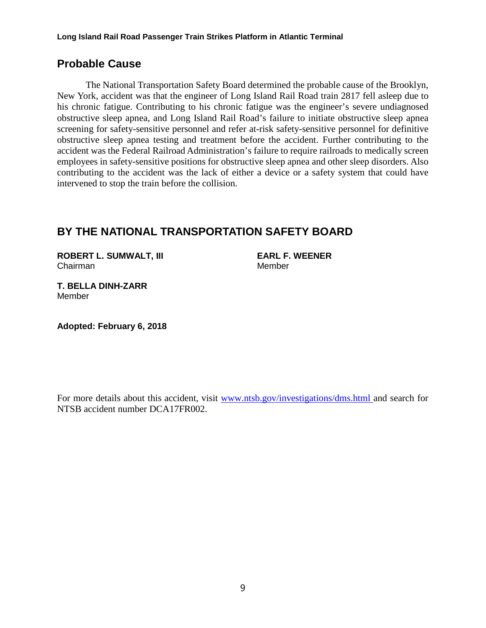# **Probable Cause**

The National Transportation Safety Board determined the probable cause of the Brooklyn, New York, accident was that the engineer of Long Island Rail Road train 2817 fell asleep due to his chronic fatigue. Contributing to his chronic fatigue was the engineer's severe undiagnosed obstructive sleep apnea, and Long Island Rail Road's failure to initiate obstructive sleep apnea screening for safety-sensitive personnel and refer at-risk safety-sensitive personnel for definitive obstructive sleep apnea testing and treatment before the accident. Further contributing to the accident was the Federal Railroad Administration's failure to require railroads to medically screen employees in safety-sensitive positions for obstructive sleep apnea and other sleep disorders. Also contributing to the accident was the lack of either a device or a safety system that could have intervened to stop the train before the collision.

# **BY THE NATIONAL TRANSPORTATION SAFETY BOARD**

**ROBERT L. SUMWALT, III EARL F. WEENER** Chairman Member

**T. BELLA DINH-ZARR** Member

**Adopted: February 6, 2018**

For more details about this accident, visit [www.ntsb.gov/investigations/dms.html](http://www.ntsb.gov/investigations/dms.html) and search for NTSB accident number DCA17FR002.